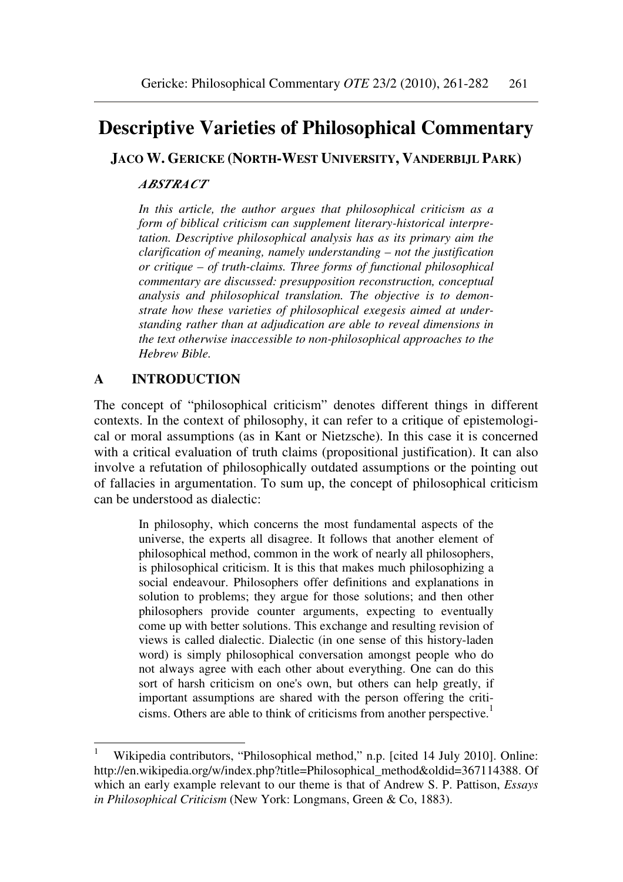# **Descriptive Varieties of Philosophical Commentary**

**JACO W. GERICKE (NORTH-WEST UNIVERSITY, VANDERBIJL PARK)** 

#### *ABSTRACT*

*In this article, the author argues that philosophical criticism as a form of biblical criticism can supplement literary-historical interpretation. Descriptive philosophical analysis has as its primary aim the clarification of meaning, namely understanding – not the justification or critique – of truth-claims. Three forms of functional philosophical commentary are discussed: presupposition reconstruction, conceptual analysis and philosophical translation. The objective is to demonstrate how these varieties of philosophical exegesis aimed at understanding rather than at adjudication are able to reveal dimensions in the text otherwise inaccessible to non-philosophical approaches to the Hebrew Bible.* 

## **A INTRODUCTION**

 $\overline{a}$ 

The concept of "philosophical criticism" denotes different things in different contexts. In the context of philosophy, it can refer to a critique of epistemological or moral assumptions (as in Kant or Nietzsche). In this case it is concerned with a critical evaluation of truth claims (propositional justification). It can also involve a refutation of philosophically outdated assumptions or the pointing out of fallacies in argumentation. To sum up, the concept of philosophical criticism can be understood as dialectic:

In philosophy, which concerns the most fundamental aspects of the universe, the experts all disagree. It follows that another element of philosophical method, common in the work of nearly all philosophers, is philosophical criticism. It is this that makes much philosophizing a social endeavour. Philosophers offer definitions and explanations in solution to problems; they argue for those solutions; and then other philosophers provide counter arguments, expecting to eventually come up with better solutions. This exchange and resulting revision of views is called dialectic. Dialectic (in one sense of this history-laden word) is simply philosophical conversation amongst people who do not always agree with each other about everything. One can do this sort of harsh criticism on one's own, but others can help greatly, if important assumptions are shared with the person offering the criticisms. Others are able to think of criticisms from another perspective.<sup>1</sup>

<sup>1</sup> Wikipedia contributors, "Philosophical method," n.p. [cited 14 July 2010]. Online: http://en.wikipedia.org/w/index.php?title=Philosophical\_method&oldid=367114388. Of which an early example relevant to our theme is that of Andrew S. P. Pattison, *Essays in Philosophical Criticism* (New York: Longmans, Green & Co, 1883).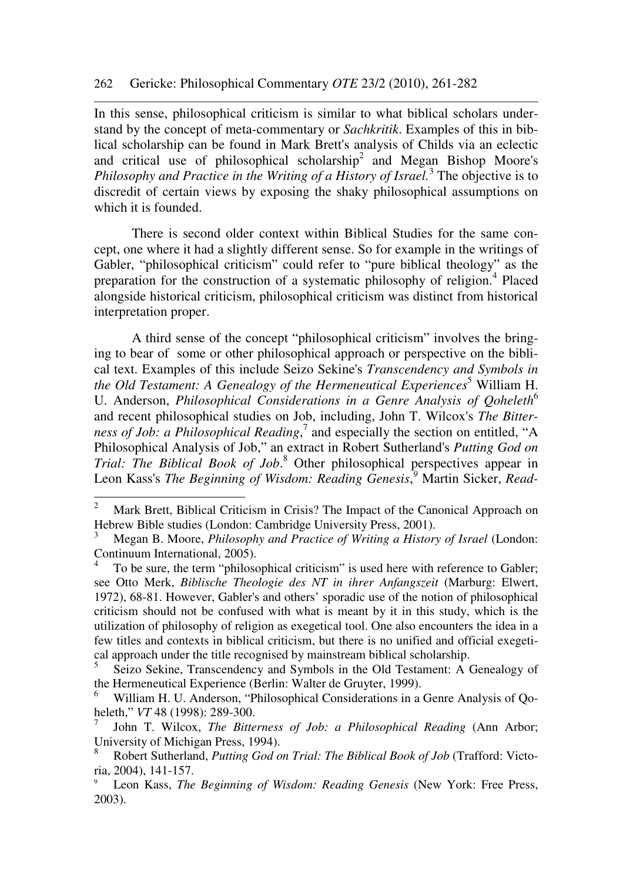In this sense, philosophical criticism is similar to what biblical scholars understand by the concept of meta-commentary or *Sachkritik*. Examples of this in biblical scholarship can be found in Mark Brett's analysis of Childs via an eclectic and critical use of philosophical scholarship<sup>2</sup> and Megan Bishop Moore's *Philosophy and Practice in the Writing of a History of Israel.*<sup>3</sup> The objective is to discredit of certain views by exposing the shaky philosophical assumptions on which it is founded.

There is second older context within Biblical Studies for the same concept, one where it had a slightly different sense. So for example in the writings of Gabler, "philosophical criticism" could refer to "pure biblical theology" as the preparation for the construction of a systematic philosophy of religion.<sup>4</sup> Placed alongside historical criticism, philosophical criticism was distinct from historical interpretation proper.

A third sense of the concept "philosophical criticism" involves the bringing to bear of some or other philosophical approach or perspective on the biblical text. Examples of this include Seizo Sekine's *Transcendency and Symbols in*  the Old Testament: A Genealogy of the Hermeneutical Experiences<sup>5</sup> William H. U. Anderson, *Philosophical Considerations in a Genre Analysis of Qoheleth*<sup>6</sup> and recent philosophical studies on Job, including, John T. Wilcox's *The Bitterness of Job: a Philosophical Reading*,<sup>7</sup> and especially the section on entitled, "A Philosophical Analysis of Job," an extract in Robert Sutherland's *Putting God on Trial: The Biblical Book of Job*. 8 Other philosophical perspectives appear in Leon Kass's *The Beginning of Wisdom: Reading Genesis*, *<sup>9</sup>* Martin Sicker, *Read-*

 $\overline{a}$ 

<sup>2</sup> Mark Brett, Biblical Criticism in Crisis? The Impact of the Canonical Approach on Hebrew Bible studies (London: Cambridge University Press, 2001).

<sup>3</sup> Megan B. Moore, *Philosophy and Practice of Writing a History of Israel* (London: Continuum International, 2005).

<sup>4</sup> To be sure, the term "philosophical criticism" is used here with reference to Gabler; see Otto Merk, *Biblische Theologie des NT in ihrer Anfangszeit* (Marburg: Elwert, 1972), 68-81. However, Gabler's and others' sporadic use of the notion of philosophical criticism should not be confused with what is meant by it in this study, which is the utilization of philosophy of religion as exegetical tool. One also encounters the idea in a few titles and contexts in biblical criticism, but there is no unified and official exegetical approach under the title recognised by mainstream biblical scholarship.<br>
Soize Sekine, Transcondancy and Symbols in the Old Testament: A G

Seizo Sekine, Transcendency and Symbols in the Old Testament: A Genealogy of the Hermeneutical Experience (Berlin: Walter de Gruyter, 1999).

<sup>6</sup> William H. U. Anderson, "Philosophical Considerations in a Genre Analysis of Qoheleth," *VT* 48 (1998): 289-300.

<sup>7</sup> John T. Wilcox, *The Bitterness of Job: a Philosophical Reading* (Ann Arbor; University of Michigan Press, 1994).

<sup>8</sup> Robert Sutherland, *Putting God on Trial: The Biblical Book of Job* (Trafford: Victoria, 2004), 141-157.

<sup>9</sup> Leon Kass, *The Beginning of Wisdom: Reading Genesis* (New York: Free Press, 2003).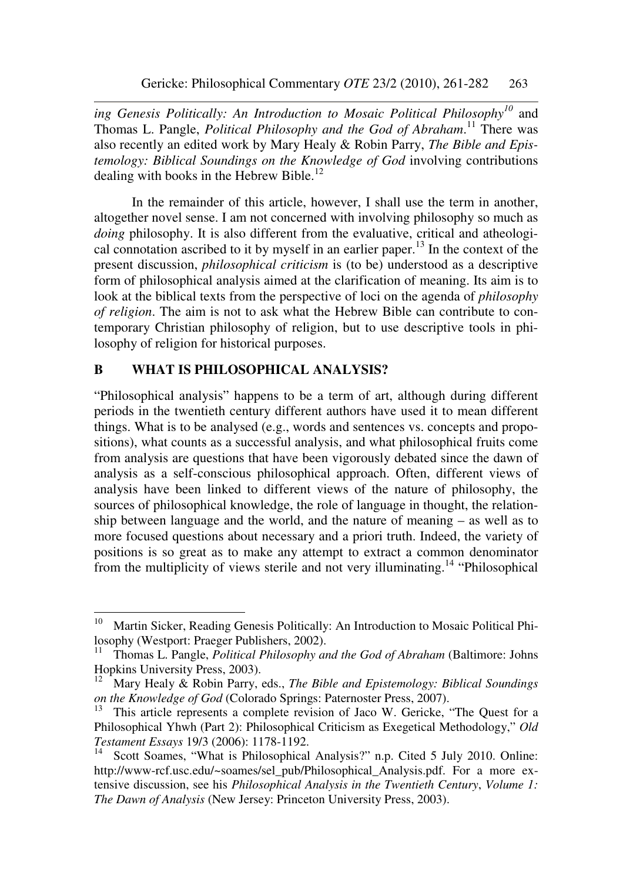*ing Genesis Politically: An Introduction to Mosaic Political Philosophy<sup>10</sup>* and Thomas L. Pangle, *Political Philosophy and the God of Abraham*. <sup>11</sup> There was also recently an edited work by Mary Healy & Robin Parry, *The Bible and Epistemology: Biblical Soundings on the Knowledge of God* involving contributions dealing with books in the Hebrew Bible.<sup>12</sup>

In the remainder of this article, however, I shall use the term in another, altogether novel sense. I am not concerned with involving philosophy so much as *doing* philosophy. It is also different from the evaluative, critical and atheological connotation ascribed to it by myself in an earlier paper.<sup>13</sup> In the context of the present discussion, *philosophical criticism* is (to be) understood as a descriptive form of philosophical analysis aimed at the clarification of meaning. Its aim is to look at the biblical texts from the perspective of loci on the agenda of *philosophy of religion*. The aim is not to ask what the Hebrew Bible can contribute to contemporary Christian philosophy of religion, but to use descriptive tools in philosophy of religion for historical purposes.

## **B WHAT IS PHILOSOPHICAL ANALYSIS?**

 $\overline{a}$ 

"Philosophical analysis" happens to be a term of art, although during different periods in the twentieth century different authors have used it to mean different things. What is to be analysed (e.g., words and sentences vs. concepts and propositions), what counts as a successful analysis, and what philosophical fruits come from analysis are questions that have been vigorously debated since the dawn of analysis as a self-conscious philosophical approach. Often, different views of analysis have been linked to different views of the nature of philosophy, the sources of philosophical knowledge, the role of language in thought, the relationship between language and the world, and the nature of meaning – as well as to more focused questions about necessary and a priori truth. Indeed, the variety of positions is so great as to make any attempt to extract a common denominator from the multiplicity of views sterile and not very illuminating.<sup>14</sup> "Philosophical

<sup>&</sup>lt;sup>10</sup> Martin Sicker, Reading Genesis Politically: An Introduction to Mosaic Political Philosophy (Westport: Praeger Publishers, 2002).

<sup>11</sup> Thomas L. Pangle, *Political Philosophy and the God of Abraham* (Baltimore: Johns Hopkins University Press, 2003).

<sup>12</sup> Mary Healy & Robin Parry, eds., *The Bible and Epistemology: Biblical Soundings on the Knowledge of God* (Colorado Springs: Paternoster Press, 2007).<br><sup>13</sup> This article represents a complete revision of Jaco W. Gericke

This article represents a complete revision of Jaco W. Gericke, "The Quest for a Philosophical Yhwh (Part 2): Philosophical Criticism as Exegetical Methodology," *Old Testament Essays* 19/3 (2006): 1178-1192.

Scott Soames, "What is Philosophical Analysis?" n.p. Cited 5 July 2010. Online: http://www-rcf.usc.edu/~soames/sel\_pub/Philosophical\_Analysis.pdf. For a more extensive discussion, see his *Philosophical Analysis in the Twentieth Century*, *Volume 1: The Dawn of Analysis* (New Jersey: Princeton University Press, 2003).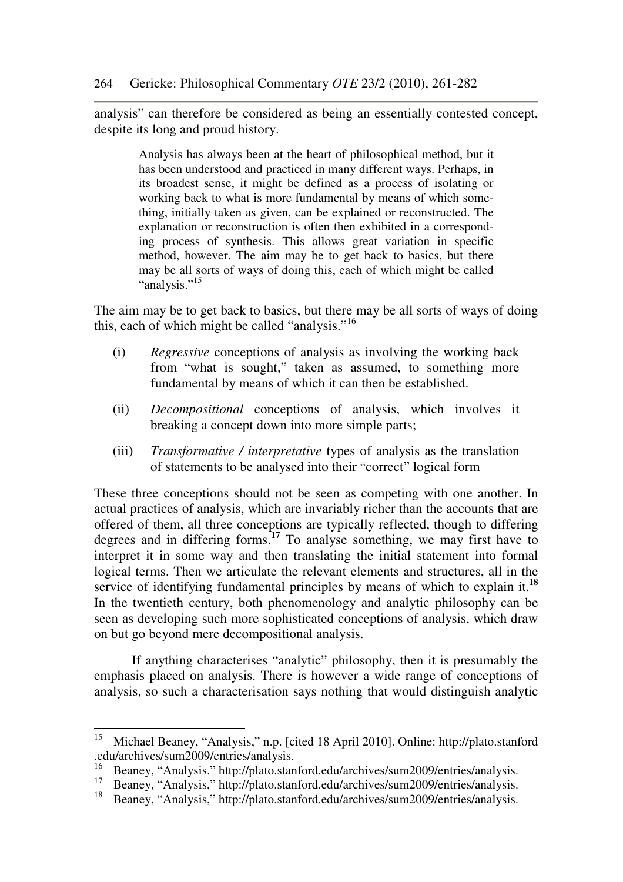analysis" can therefore be considered as being an essentially contested concept, despite its long and proud history.

Analysis has always been at the heart of philosophical method, but it has been understood and practiced in many different ways. Perhaps, in its broadest sense, it might be defined as a process of isolating or working back to what is more fundamental by means of which something, initially taken as given, can be explained or reconstructed. The explanation or reconstruction is often then exhibited in a corresponding process of synthesis. This allows great variation in specific method, however. The aim may be to get back to basics, but there may be all sorts of ways of doing this, each of which might be called "analysis."<sup>15</sup>

The aim may be to get back to basics, but there may be all sorts of ways of doing this, each of which might be called "analysis."<sup>16</sup>

- (i) *Regressive* conceptions of analysis as involving the working back from "what is sought," taken as assumed, to something more fundamental by means of which it can then be established.
- (ii) *Decompositional* conceptions of analysis, which involves it breaking a concept down into more simple parts;
- (iii) *Transformative / interpretative* types of analysis as the translation of statements to be analysed into their "correct" logical form

These three conceptions should not be seen as competing with one another. In actual practices of analysis, which are invariably richer than the accounts that are offered of them, all three conceptions are typically reflected, though to differing degrees and in differing forms.**<sup>17</sup>** To analyse something, we may first have to interpret it in some way and then translating the initial statement into formal logical terms. Then we articulate the relevant elements and structures, all in the service of identifying fundamental principles by means of which to explain it.**<sup>18</sup>** In the twentieth century, both phenomenology and analytic philosophy can be seen as developing such more sophisticated conceptions of analysis, which draw on but go beyond mere decompositional analysis.

If anything characterises "analytic" philosophy, then it is presumably the emphasis placed on analysis. There is however a wide range of conceptions of analysis, so such a characterisation says nothing that would distinguish analytic

<sup>15</sup> <sup>15</sup> Michael Beaney, "Analysis," n.p. [cited 18 April 2010]. Online: http://plato.stanford .edu/archives/sum2009/entries/analysis.

<sup>&</sup>lt;sup>16</sup> Beaney, "Analysis." http://plato.stanford.edu/archives/sum2009/entries/analysis.

<sup>&</sup>lt;sup>17</sup> Beaney, "Analysis," http://plato.stanford.edu/archives/sum2009/entries/analysis.<br><sup>18</sup> Beaney, "Analysis," http://plato.stanford.edu/archives/sum2009/entries/analysis

<sup>18</sup> Beaney, "Analysis," http://plato.stanford.edu/archives/sum2009/entries/analysis.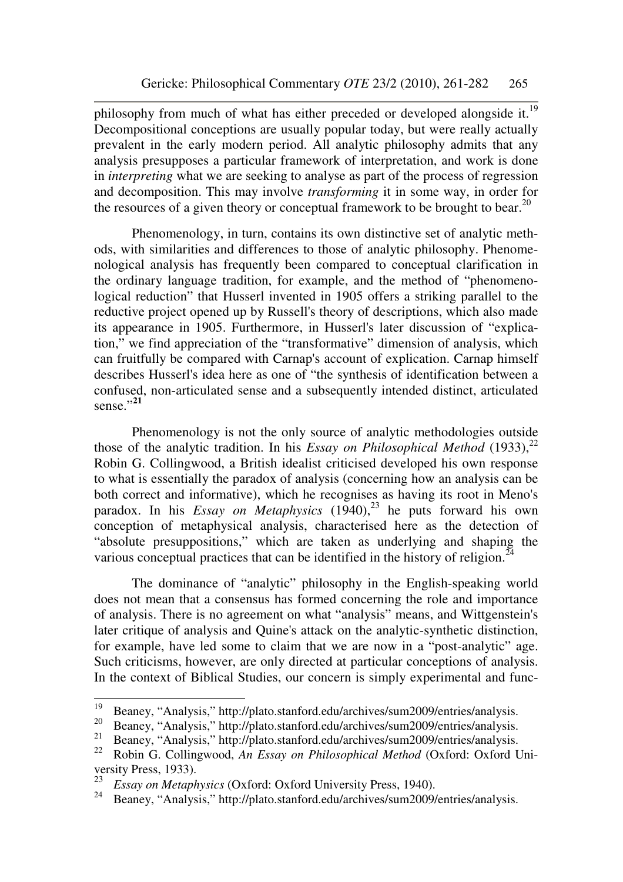philosophy from much of what has either preceded or developed alongside it.<sup>19</sup> Decompositional conceptions are usually popular today, but were really actually prevalent in the early modern period. All analytic philosophy admits that any analysis presupposes a particular framework of interpretation, and work is done in *interpreting* what we are seeking to analyse as part of the process of regression and decomposition. This may involve *transforming* it in some way, in order for the resources of a given theory or conceptual framework to be brought to bear.<sup>20</sup>

Phenomenology, in turn, contains its own distinctive set of analytic methods, with similarities and differences to those of analytic philosophy. Phenomenological analysis has frequently been compared to conceptual clarification in the ordinary language tradition, for example, and the method of "phenomenological reduction" that Husserl invented in 1905 offers a striking parallel to the reductive project opened up by Russell's theory of descriptions, which also made its appearance in 1905. Furthermore, in Husserl's later discussion of "explication," we find appreciation of the "transformative" dimension of analysis, which can fruitfully be compared with Carnap's account of explication. Carnap himself describes Husserl's idea here as one of "the synthesis of identification between a confused, non-articulated sense and a subsequently intended distinct, articulated sense."<sup>21</sup>

Phenomenology is not the only source of analytic methodologies outside those of the analytic tradition. In his *Essay on Philosophical Method* (1933),<sup>22</sup> Robin G. Collingwood, a British idealist criticised developed his own response to what is essentially the paradox of analysis (concerning how an analysis can be both correct and informative), which he recognises as having its root in Meno's paradox. In his *Essay on Metaphysics*  $(1940)$ ,<sup>23</sup> he puts forward his own conception of metaphysical analysis, characterised here as the detection of "absolute presuppositions," which are taken as underlying and shaping the various conceptual practices that can be identified in the history of religion.<sup>24</sup>

The dominance of "analytic" philosophy in the English-speaking world does not mean that a consensus has formed concerning the role and importance of analysis. There is no agreement on what "analysis" means, and Wittgenstein's later critique of analysis and Quine's attack on the analytic-synthetic distinction, for example, have led some to claim that we are now in a "post-analytic" age. Such criticisms, however, are only directed at particular conceptions of analysis. In the context of Biblical Studies, our concern is simply experimental and func-

<sup>19</sup> <sup>19</sup> Beaney, "Analysis," http://plato.stanford.edu/archives/sum2009/entries/analysis.<br><sup>20</sup> Beaney, "Analysis," http://plato.stanford.edu/archives/sum2000/entries/analysis.

<sup>&</sup>lt;sup>20</sup> Beaney, "Analysis," http://plato.stanford.edu/archives/sum2009/entries/analysis.<br><sup>21</sup> Beaney, "Analysis," http://plato.stanford.edu/archives/sum2000/entries/analysis.

<sup>&</sup>lt;sup>21</sup> Beaney, "Analysis," http://plato.stanford.edu/archives/sum2009/entries/analysis.<br><sup>22</sup> Bobin G. Collingwood, *An Essay on Philosophical Method* (Oxford: Oxford I

<sup>22</sup> Robin G. Collingwood, *An Essay on Philosophical Method* (Oxford: Oxford University Press, 1933).<br> $\frac{23}{5}$  Esseven Metaple

<sup>&</sup>lt;sup>23</sup> *Essay on Metaphysics* (Oxford: Oxford University Press, 1940).<br><sup>24</sup> Beaney "Analysis " http://plato.stanford.edu/archives/sum2000/

<sup>24</sup> Beaney, "Analysis," http://plato.stanford.edu/archives/sum2009/entries/analysis.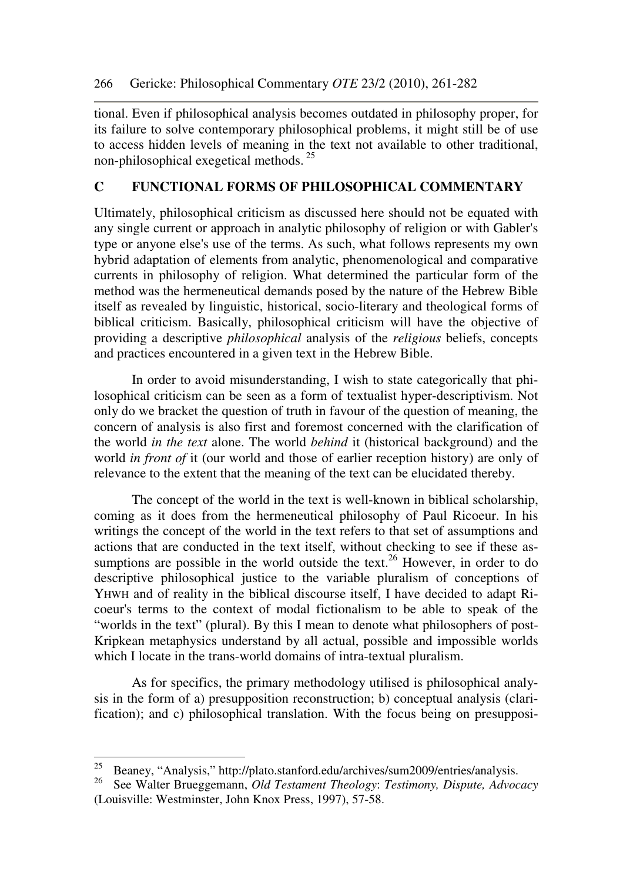tional. Even if philosophical analysis becomes outdated in philosophy proper, for its failure to solve contemporary philosophical problems, it might still be of use to access hidden levels of meaning in the text not available to other traditional, non-philosophical exegetical methods. $^{25}$ 

# **C FUNCTIONAL FORMS OF PHILOSOPHICAL COMMENTARY**

Ultimately, philosophical criticism as discussed here should not be equated with any single current or approach in analytic philosophy of religion or with Gabler's type or anyone else's use of the terms. As such, what follows represents my own hybrid adaptation of elements from analytic, phenomenological and comparative currents in philosophy of religion. What determined the particular form of the method was the hermeneutical demands posed by the nature of the Hebrew Bible itself as revealed by linguistic, historical, socio-literary and theological forms of biblical criticism. Basically, philosophical criticism will have the objective of providing a descriptive *philosophical* analysis of the *religious* beliefs, concepts and practices encountered in a given text in the Hebrew Bible.

In order to avoid misunderstanding, I wish to state categorically that philosophical criticism can be seen as a form of textualist hyper-descriptivism. Not only do we bracket the question of truth in favour of the question of meaning, the concern of analysis is also first and foremost concerned with the clarification of the world *in the text* alone. The world *behind* it (historical background) and the world *in front of* it (our world and those of earlier reception history) are only of relevance to the extent that the meaning of the text can be elucidated thereby.

The concept of the world in the text is well-known in biblical scholarship, coming as it does from the hermeneutical philosophy of Paul Ricoeur. In his writings the concept of the world in the text refers to that set of assumptions and actions that are conducted in the text itself, without checking to see if these assumptions are possible in the world outside the text.<sup>26</sup> However, in order to do descriptive philosophical justice to the variable pluralism of conceptions of YHWH and of reality in the biblical discourse itself, I have decided to adapt Ricoeur's terms to the context of modal fictionalism to be able to speak of the "worlds in the text" (plural). By this I mean to denote what philosophers of post-Kripkean metaphysics understand by all actual, possible and impossible worlds which I locate in the trans-world domains of intra-textual pluralism.

As for specifics, the primary methodology utilised is philosophical analysis in the form of a) presupposition reconstruction; b) conceptual analysis (clarification); and c) philosophical translation. With the focus being on presupposi-

<sup>25</sup> <sup>25</sup> Beaney, "Analysis," http://plato.stanford.edu/archives/sum2009/entries/analysis.<br><sup>26</sup> See Welter Bruggemann, *Old Tastament Theology: Tastimeny, Dispute, Advocate* 

<sup>26</sup> See Walter Brueggemann, *Old Testament Theology*: *Testimony, Dispute, Advocacy* (Louisville: Westminster, John Knox Press, 1997), 57-58.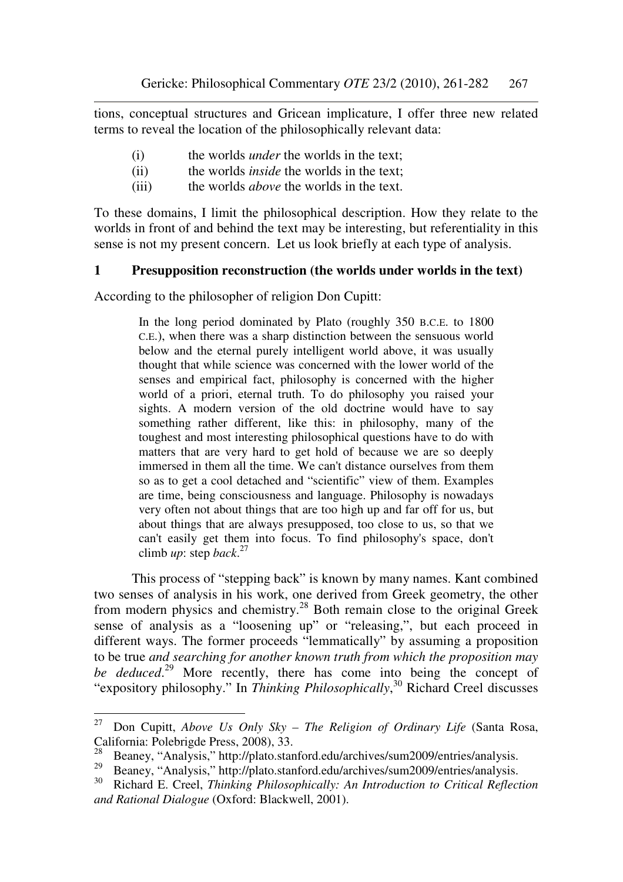tions, conceptual structures and Gricean implicature, I offer three new related terms to reveal the location of the philosophically relevant data:

- (i) the worlds *under* the worlds in the text;
- (ii) the worlds *inside* the worlds in the text;
- (iii) the worlds *above* the worlds in the text.

To these domains, I limit the philosophical description. How they relate to the worlds in front of and behind the text may be interesting, but referentiality in this sense is not my present concern. Let us look briefly at each type of analysis.

## **1 Presupposition reconstruction (the worlds under worlds in the text)**

According to the philosopher of religion Don Cupitt:

In the long period dominated by Plato (roughly 350 B.C.E. to 1800 C.E.), when there was a sharp distinction between the sensuous world below and the eternal purely intelligent world above, it was usually thought that while science was concerned with the lower world of the senses and empirical fact, philosophy is concerned with the higher world of a priori, eternal truth. To do philosophy you raised your sights. A modern version of the old doctrine would have to say something rather different, like this: in philosophy, many of the toughest and most interesting philosophical questions have to do with matters that are very hard to get hold of because we are so deeply immersed in them all the time. We can't distance ourselves from them so as to get a cool detached and "scientific" view of them. Examples are time, being consciousness and language. Philosophy is nowadays very often not about things that are too high up and far off for us, but about things that are always presupposed, too close to us, so that we can't easily get them into focus. To find philosophy's space, don't climb *up*: step *back*. 27

This process of "stepping back" is known by many names. Kant combined two senses of analysis in his work, one derived from Greek geometry, the other from modern physics and chemistry.<sup>28</sup> Both remain close to the original Greek sense of analysis as a "loosening up" or "releasing,", but each proceed in different ways. The former proceeds "lemmatically" by assuming a proposition to be true *and searching for another known truth from which the proposition may be deduced*. <sup>29</sup> More recently, there has come into being the concept of "expository philosophy." In *Thinking Philosophically*, <sup>30</sup> Richard Creel discusses

<sup>27</sup> <sup>27</sup> Don Cupitt, *Above Us Only Sky – The Religion of Ordinary Life* (Santa Rosa, California: Polebrigde Press, 2008), 33.

 $\frac{28}{28}$  Beaney, "Analysis," http://plato.stanford.edu/archives/sum2009/entries/analysis.

<sup>&</sup>lt;sup>29</sup> Beaney, "Analysis," http://plato.stanford.edu/archives/sum2009/entries/analysis.<br><sup>30</sup> Biobard E. Crool, Thinking Philosophically: An Introduction to Critical Pethec

<sup>30</sup> Richard E. Creel, *Thinking Philosophically: An Introduction to Critical Reflection and Rational Dialogue* (Oxford: Blackwell, 2001).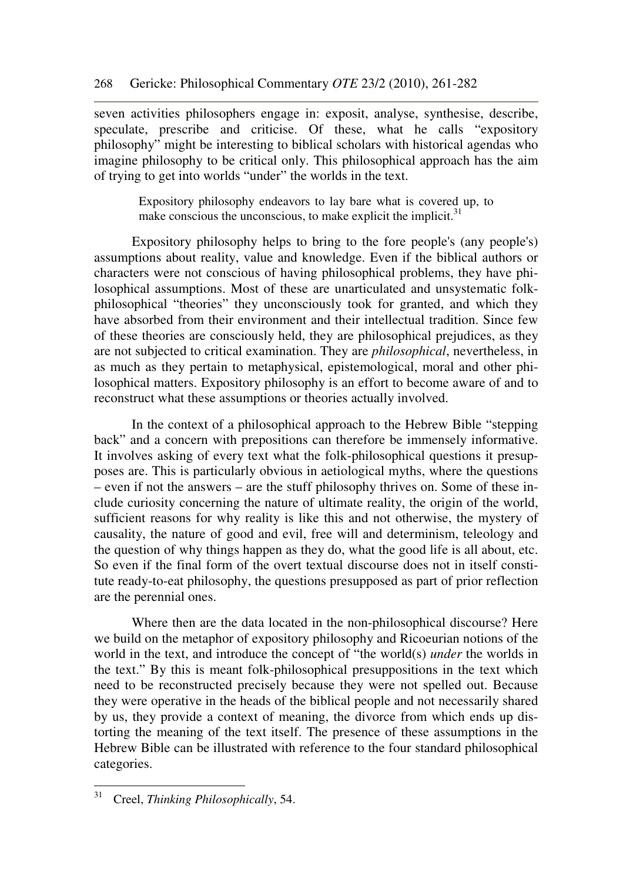seven activities philosophers engage in: exposit, analyse, synthesise, describe, speculate, prescribe and criticise. Of these, what he calls "expository philosophy" might be interesting to biblical scholars with historical agendas who imagine philosophy to be critical only. This philosophical approach has the aim of trying to get into worlds "under" the worlds in the text.

Expository philosophy endeavors to lay bare what is covered up, to make conscious the unconscious, to make explicit the implicit. $31$ 

Expository philosophy helps to bring to the fore people's (any people's) assumptions about reality, value and knowledge. Even if the biblical authors or characters were not conscious of having philosophical problems, they have philosophical assumptions. Most of these are unarticulated and unsystematic folkphilosophical "theories" they unconsciously took for granted, and which they have absorbed from their environment and their intellectual tradition. Since few of these theories are consciously held, they are philosophical prejudices, as they are not subjected to critical examination. They are *philosophical*, nevertheless, in as much as they pertain to metaphysical, epistemological, moral and other philosophical matters. Expository philosophy is an effort to become aware of and to reconstruct what these assumptions or theories actually involved.

In the context of a philosophical approach to the Hebrew Bible "stepping back" and a concern with prepositions can therefore be immensely informative. It involves asking of every text what the folk-philosophical questions it presupposes are. This is particularly obvious in aetiological myths, where the questions – even if not the answers – are the stuff philosophy thrives on. Some of these include curiosity concerning the nature of ultimate reality, the origin of the world, sufficient reasons for why reality is like this and not otherwise, the mystery of causality, the nature of good and evil, free will and determinism, teleology and the question of why things happen as they do, what the good life is all about, etc. So even if the final form of the overt textual discourse does not in itself constitute ready-to-eat philosophy, the questions presupposed as part of prior reflection are the perennial ones.

Where then are the data located in the non-philosophical discourse? Here we build on the metaphor of expository philosophy and Ricoeurian notions of the world in the text, and introduce the concept of "the world(s) *under* the worlds in the text." By this is meant folk-philosophical presuppositions in the text which need to be reconstructed precisely because they were not spelled out. Because they were operative in the heads of the biblical people and not necessarily shared by us, they provide a context of meaning, the divorce from which ends up distorting the meaning of the text itself. The presence of these assumptions in the Hebrew Bible can be illustrated with reference to the four standard philosophical categories.

 $31\,$ <sup>31</sup> Creel, *Thinking Philosophically*, 54.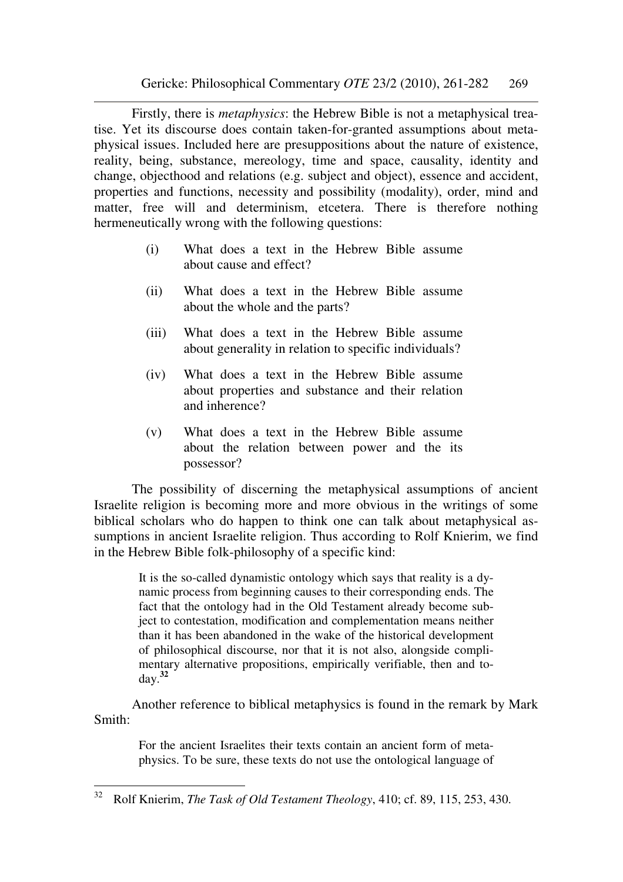Firstly, there is *metaphysics*: the Hebrew Bible is not a metaphysical treatise. Yet its discourse does contain taken-for-granted assumptions about metaphysical issues. Included here are presuppositions about the nature of existence, reality, being, substance, mereology, time and space, causality, identity and change, objecthood and relations (e.g. subject and object), essence and accident, properties and functions, necessity and possibility (modality), order, mind and matter, free will and determinism, etcetera. There is therefore nothing hermeneutically wrong with the following questions:

- (i) What does a text in the Hebrew Bible assume about cause and effect?
- (ii) What does a text in the Hebrew Bible assume about the whole and the parts?
- (iii) What does a text in the Hebrew Bible assume about generality in relation to specific individuals?
- (iv) What does a text in the Hebrew Bible assume about properties and substance and their relation and inherence?
- (v) What does a text in the Hebrew Bible assume about the relation between power and the its possessor?

The possibility of discerning the metaphysical assumptions of ancient Israelite religion is becoming more and more obvious in the writings of some biblical scholars who do happen to think one can talk about metaphysical assumptions in ancient Israelite religion. Thus according to Rolf Knierim, we find in the Hebrew Bible folk-philosophy of a specific kind:

It is the so-called dynamistic ontology which says that reality is a dynamic process from beginning causes to their corresponding ends. The fact that the ontology had in the Old Testament already become subject to contestation, modification and complementation means neither than it has been abandoned in the wake of the historical development of philosophical discourse, nor that it is not also, alongside complimentary alternative propositions, empirically verifiable, then and today.**<sup>32</sup>**

Another reference to biblical metaphysics is found in the remark by Mark Smith:

For the ancient Israelites their texts contain an ancient form of metaphysics. To be sure, these texts do not use the ontological language of

<sup>32</sup> <sup>32</sup> Rolf Knierim, *The Task of Old Testament Theology*, 410; cf. 89, 115, 253, 430.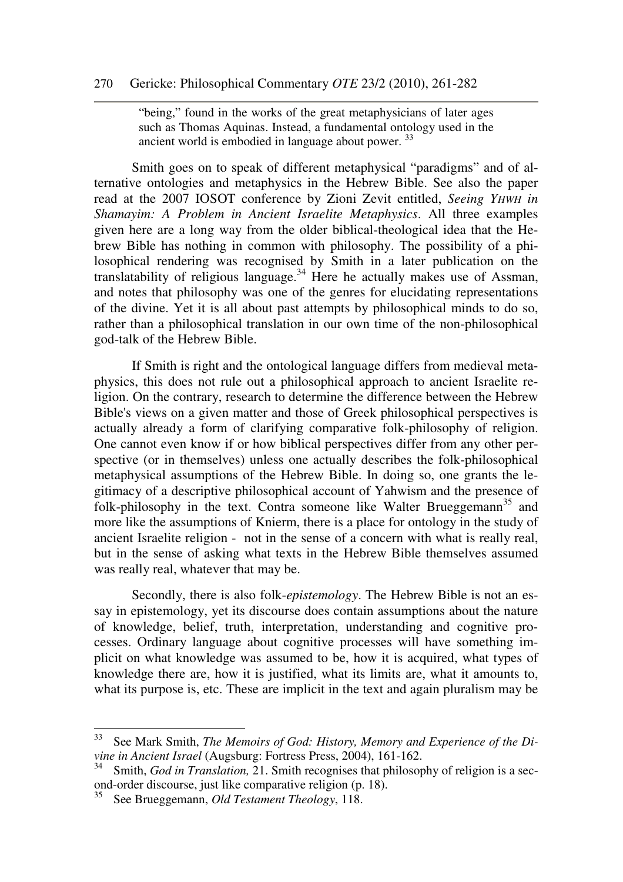"being," found in the works of the great metaphysicians of later ages such as Thomas Aquinas. Instead, a fundamental ontology used in the ancient world is embodied in language about power. <sup>33</sup>

Smith goes on to speak of different metaphysical "paradigms" and of alternative ontologies and metaphysics in the Hebrew Bible. See also the paper read at the 2007 IOSOT conference by Zioni Zevit entitled, *Seeing YHWH in Shamayim: A Problem in Ancient Israelite Metaphysics*. All three examples given here are a long way from the older biblical-theological idea that the Hebrew Bible has nothing in common with philosophy. The possibility of a philosophical rendering was recognised by Smith in a later publication on the translatability of religious language.<sup>34</sup> Here he actually makes use of Assman, and notes that philosophy was one of the genres for elucidating representations of the divine. Yet it is all about past attempts by philosophical minds to do so, rather than a philosophical translation in our own time of the non-philosophical god-talk of the Hebrew Bible.

If Smith is right and the ontological language differs from medieval metaphysics, this does not rule out a philosophical approach to ancient Israelite religion. On the contrary, research to determine the difference between the Hebrew Bible's views on a given matter and those of Greek philosophical perspectives is actually already a form of clarifying comparative folk-philosophy of religion. One cannot even know if or how biblical perspectives differ from any other perspective (or in themselves) unless one actually describes the folk-philosophical metaphysical assumptions of the Hebrew Bible. In doing so, one grants the legitimacy of a descriptive philosophical account of Yahwism and the presence of folk-philosophy in the text. Contra someone like Walter Brueggemann<sup>35</sup> and more like the assumptions of Knierm, there is a place for ontology in the study of ancient Israelite religion - not in the sense of a concern with what is really real, but in the sense of asking what texts in the Hebrew Bible themselves assumed was really real, whatever that may be.

Secondly, there is also folk-*epistemology*. The Hebrew Bible is not an essay in epistemology, yet its discourse does contain assumptions about the nature of knowledge, belief, truth, interpretation, understanding and cognitive processes. Ordinary language about cognitive processes will have something implicit on what knowledge was assumed to be, how it is acquired, what types of knowledge there are, how it is justified, what its limits are, what it amounts to, what its purpose is, etc. These are implicit in the text and again pluralism may be

<sup>33</sup> See Mark Smith, *The Memoirs of God: History, Memory and Experience of the Divine in Ancient Israel* (Augsburg: Fortress Press, 2004), 161-162.

<sup>&</sup>lt;sup>34</sup> Smith, *God in Translation*, 21. Smith recognises that philosophy of religion is a second-order discourse, just like comparative religion (p. 18).

<sup>35</sup> See Brueggemann, *Old Testament Theology*, 118.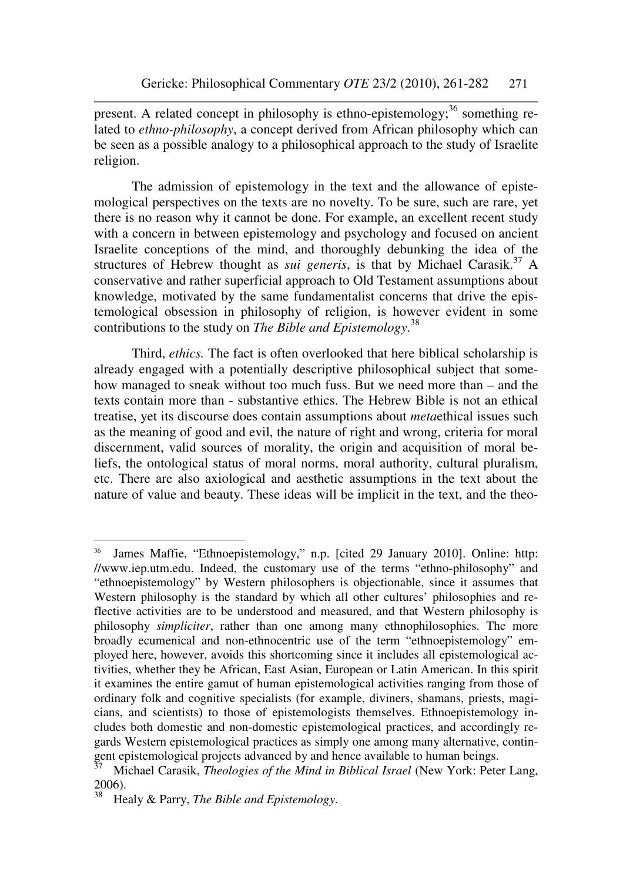present. A related concept in philosophy is ethno-epistemology;  $36$  something related to *ethno-philosophy*, a concept derived from African philosophy which can be seen as a possible analogy to a philosophical approach to the study of Israelite religion.

The admission of epistemology in the text and the allowance of epistemological perspectives on the texts are no novelty. To be sure, such are rare, yet there is no reason why it cannot be done. For example, an excellent recent study with a concern in between epistemology and psychology and focused on ancient Israelite conceptions of the mind, and thoroughly debunking the idea of the structures of Hebrew thought as *sui generis*, is that by Michael Carasik.<sup>37</sup> A conservative and rather superficial approach to Old Testament assumptions about knowledge, motivated by the same fundamentalist concerns that drive the epistemological obsession in philosophy of religion, is however evident in some contributions to the study on *The Bible and Epistemology*. 38

Third, *ethics.* The fact is often overlooked that here biblical scholarship is already engaged with a potentially descriptive philosophical subject that somehow managed to sneak without too much fuss. But we need more than – and the texts contain more than - substantive ethics. The Hebrew Bible is not an ethical treatise, yet its discourse does contain assumptions about *meta*ethical issues such as the meaning of good and evil, the nature of right and wrong, criteria for moral discernment, valid sources of morality, the origin and acquisition of moral beliefs, the ontological status of moral norms, moral authority, cultural pluralism, etc. There are also axiological and aesthetic assumptions in the text about the nature of value and beauty. These ideas will be implicit in the text, and the theo-

 $\overline{a}$ 

<sup>36</sup> James Maffie, "Ethnoepistemology," n.p. [cited 29 January 2010]. Online: http: //www.iep.utm.edu. Indeed, the customary use of the terms "ethno-philosophy" and "ethnoepistemology" by Western philosophers is objectionable, since it assumes that Western philosophy is the standard by which all other cultures' philosophies and reflective activities are to be understood and measured, and that Western philosophy is philosophy *simpliciter*, rather than one among many ethnophilosophies. The more broadly ecumenical and non-ethnocentric use of the term "ethnoepistemology" employed here, however, avoids this shortcoming since it includes all epistemological activities, whether they be African, East Asian, European or Latin American. In this spirit it examines the entire gamut of human epistemological activities ranging from those of ordinary folk and cognitive specialists (for example, diviners, shamans, priests, magicians, and scientists) to those of epistemologists themselves. Ethnoepistemology includes both domestic and non-domestic epistemological practices, and accordingly regards Western epistemological practices as simply one among many alternative, contingent epistemological projects advanced by and hence available to human beings.

<sup>37</sup> Michael Carasik, *Theologies of the Mind in Biblical Israel* (New York: Peter Lang, 2006).

<sup>38</sup> Healy & Parry, *The Bible and Epistemology*.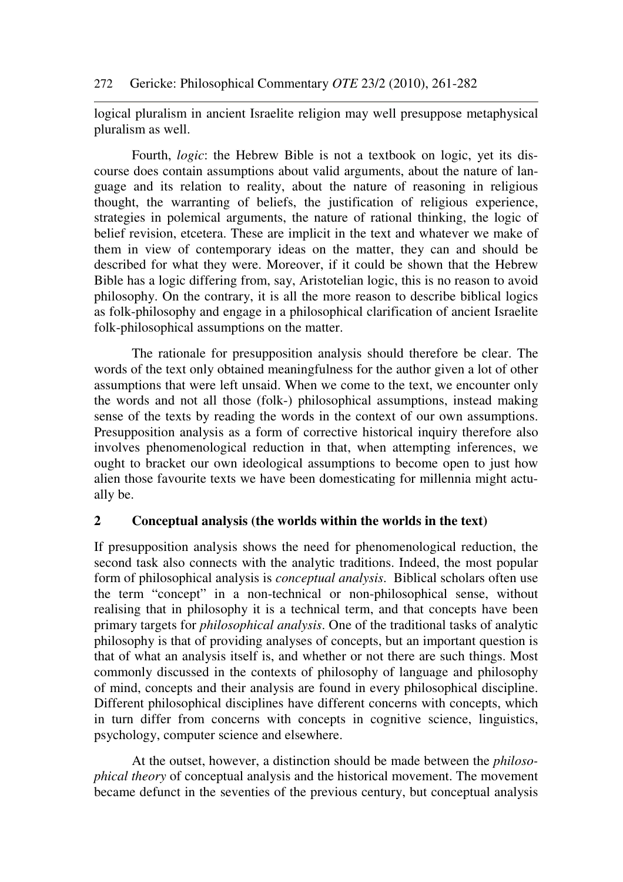#### 272 Gericke: Philosophical Commentary *OTE* 23/2 (2010), 261-282

logical pluralism in ancient Israelite religion may well presuppose metaphysical pluralism as well.

Fourth, *logic*: the Hebrew Bible is not a textbook on logic, yet its discourse does contain assumptions about valid arguments, about the nature of language and its relation to reality, about the nature of reasoning in religious thought, the warranting of beliefs, the justification of religious experience, strategies in polemical arguments, the nature of rational thinking, the logic of belief revision, etcetera. These are implicit in the text and whatever we make of them in view of contemporary ideas on the matter, they can and should be described for what they were. Moreover, if it could be shown that the Hebrew Bible has a logic differing from, say, Aristotelian logic, this is no reason to avoid philosophy. On the contrary, it is all the more reason to describe biblical logics as folk-philosophy and engage in a philosophical clarification of ancient Israelite folk-philosophical assumptions on the matter.

The rationale for presupposition analysis should therefore be clear. The words of the text only obtained meaningfulness for the author given a lot of other assumptions that were left unsaid. When we come to the text, we encounter only the words and not all those (folk-) philosophical assumptions, instead making sense of the texts by reading the words in the context of our own assumptions. Presupposition analysis as a form of corrective historical inquiry therefore also involves phenomenological reduction in that, when attempting inferences, we ought to bracket our own ideological assumptions to become open to just how alien those favourite texts we have been domesticating for millennia might actually be.

# **2 Conceptual analysis (the worlds within the worlds in the text)**

If presupposition analysis shows the need for phenomenological reduction, the second task also connects with the analytic traditions. Indeed, the most popular form of philosophical analysis is *conceptual analysis*. Biblical scholars often use the term "concept" in a non-technical or non-philosophical sense, without realising that in philosophy it is a technical term, and that concepts have been primary targets for *philosophical analysis*. One of the traditional tasks of analytic philosophy is that of providing analyses of concepts, but an important question is that of what an analysis itself is, and whether or not there are such things. Most commonly discussed in the contexts of philosophy of language and philosophy of mind, concepts and their analysis are found in every philosophical discipline. Different philosophical disciplines have different concerns with concepts, which in turn differ from concerns with concepts in cognitive science, linguistics, psychology, computer science and elsewhere.

At the outset, however, a distinction should be made between the *philosophical theory* of conceptual analysis and the historical movement. The movement became defunct in the seventies of the previous century, but conceptual analysis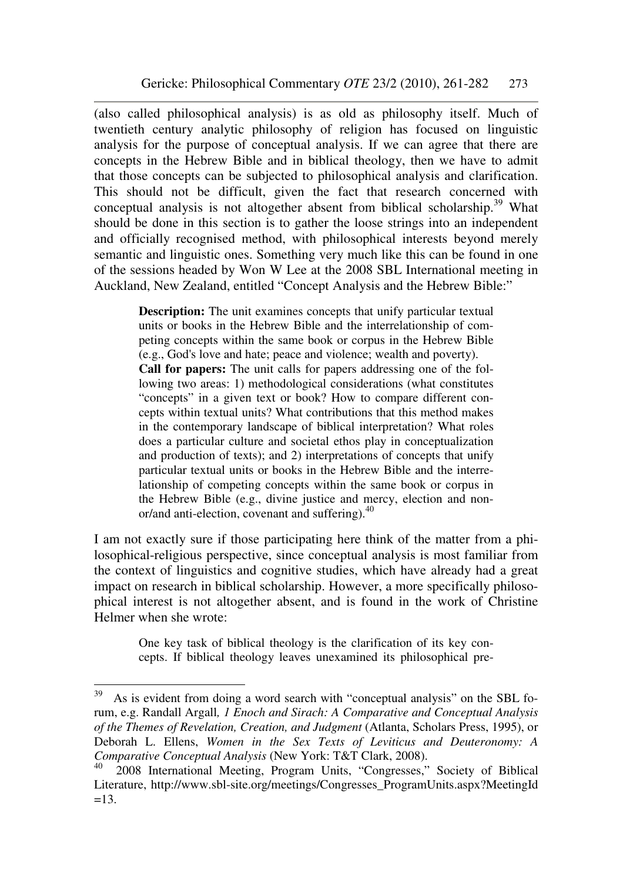(also called philosophical analysis) is as old as philosophy itself. Much of twentieth century analytic philosophy of religion has focused on linguistic analysis for the purpose of conceptual analysis. If we can agree that there are concepts in the Hebrew Bible and in biblical theology, then we have to admit that those concepts can be subjected to philosophical analysis and clarification. This should not be difficult, given the fact that research concerned with conceptual analysis is not altogether absent from biblical scholarship.<sup>39</sup> What should be done in this section is to gather the loose strings into an independent and officially recognised method, with philosophical interests beyond merely semantic and linguistic ones. Something very much like this can be found in one of the sessions headed by Won W Lee at the 2008 SBL International meeting in Auckland, New Zealand, entitled "Concept Analysis and the Hebrew Bible:"

> **Description:** The unit examines concepts that unify particular textual units or books in the Hebrew Bible and the interrelationship of competing concepts within the same book or corpus in the Hebrew Bible (e.g., God's love and hate; peace and violence; wealth and poverty). **Call for papers:** The unit calls for papers addressing one of the following two areas: 1) methodological considerations (what constitutes "concepts" in a given text or book? How to compare different concepts within textual units? What contributions that this method makes in the contemporary landscape of biblical interpretation? What roles does a particular culture and societal ethos play in conceptualization and production of texts); and 2) interpretations of concepts that unify particular textual units or books in the Hebrew Bible and the interrelationship of competing concepts within the same book or corpus in the Hebrew Bible (e.g., divine justice and mercy, election and nonor/and anti-election, covenant and suffering).<sup>40</sup>

I am not exactly sure if those participating here think of the matter from a philosophical-religious perspective, since conceptual analysis is most familiar from the context of linguistics and cognitive studies, which have already had a great impact on research in biblical scholarship. However, a more specifically philosophical interest is not altogether absent, and is found in the work of Christine Helmer when she wrote:

> One key task of biblical theology is the clarification of its key concepts. If biblical theology leaves unexamined its philosophical pre-

<sup>39</sup> As is evident from doing a word search with "conceptual analysis" on the SBL forum, e.g. Randall Argall*, 1 Enoch and Sirach: A Comparative and Conceptual Analysis of the Themes of Revelation, Creation, and Judgment* (Atlanta, Scholars Press, 1995), or Deborah L. Ellens, *Women in the Sex Texts of Leviticus and Deuteronomy: A Comparative Conceptual Analysis* (New York: T&T Clark, 2008).

<sup>40</sup> 2008 International Meeting, Program Units, "Congresses," Society of Biblical Literature, http://www.sbl-site.org/meetings/Congresses\_ProgramUnits.aspx?MeetingId  $=13.$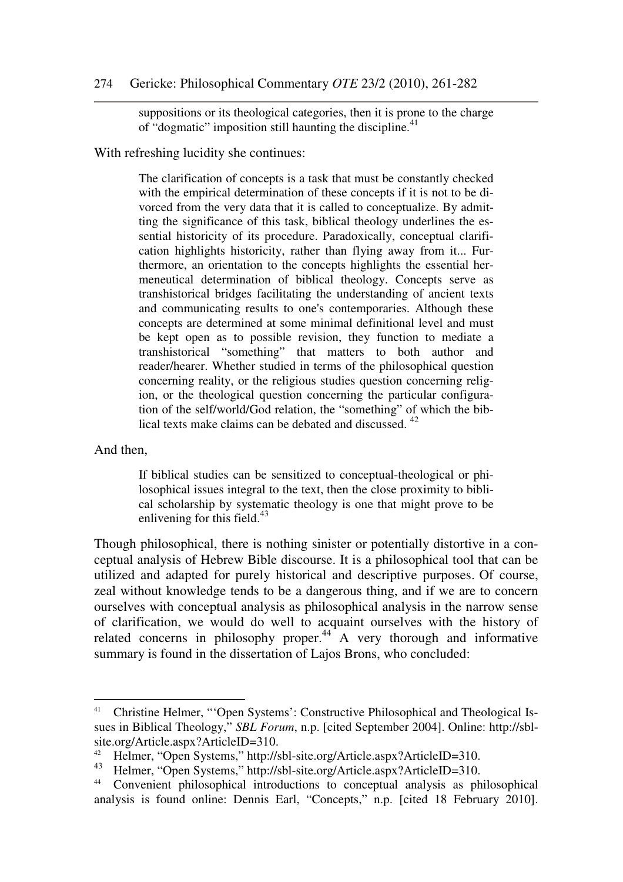#### 274 Gericke: Philosophical Commentary *OTE* 23/2 (2010), 261-282

suppositions or its theological categories, then it is prone to the charge of "dogmatic" imposition still haunting the discipline.<sup>41</sup>

With refreshing lucidity she continues:

The clarification of concepts is a task that must be constantly checked with the empirical determination of these concepts if it is not to be divorced from the very data that it is called to conceptualize. By admitting the significance of this task, biblical theology underlines the essential historicity of its procedure. Paradoxically, conceptual clarification highlights historicity, rather than flying away from it... Furthermore, an orientation to the concepts highlights the essential hermeneutical determination of biblical theology. Concepts serve as transhistorical bridges facilitating the understanding of ancient texts and communicating results to one's contemporaries. Although these concepts are determined at some minimal definitional level and must be kept open as to possible revision, they function to mediate a transhistorical "something" that matters to both author and reader/hearer. Whether studied in terms of the philosophical question concerning reality, or the religious studies question concerning religion, or the theological question concerning the particular configuration of the self/world/God relation, the "something" of which the biblical texts make claims can be debated and discussed. <sup>42</sup>

And then,

 $\overline{a}$ 

If biblical studies can be sensitized to conceptual-theological or philosophical issues integral to the text, then the close proximity to biblical scholarship by systematic theology is one that might prove to be enlivening for this field. $43$ 

Though philosophical, there is nothing sinister or potentially distortive in a conceptual analysis of Hebrew Bible discourse. It is a philosophical tool that can be utilized and adapted for purely historical and descriptive purposes. Of course, zeal without knowledge tends to be a dangerous thing, and if we are to concern ourselves with conceptual analysis as philosophical analysis in the narrow sense of clarification, we would do well to acquaint ourselves with the history of related concerns in philosophy proper.<sup>44</sup> A very thorough and informative summary is found in the dissertation of Lajos Brons, who concluded:

<sup>&</sup>lt;sup>41</sup> Christine Helmer, "'Open Systems': Constructive Philosophical and Theological Issues in Biblical Theology," *SBL Forum*, n.p. [cited September 2004]. Online: http://sblsite.org/Article.aspx?ArticleID=310.

<sup>&</sup>lt;sup>42</sup> Helmer, "Open Systems," http://sbl-site.org/Article.aspx?ArticleID=310.<br><sup>43</sup> Helmer, "Open Systems," http://sbl.site.org/Article.com/2ArticleID=310.

<sup>&</sup>lt;sup>43</sup> Helmer, "Open Systems," http://sbl-site.org/Article.aspx?ArticleID=310.<br><sup>44</sup> Convenient philosophical introductions to concentual analysis as ph

<sup>44</sup> Convenient philosophical introductions to conceptual analysis as philosophical analysis is found online: Dennis Earl, "Concepts," n.p. [cited 18 February 2010].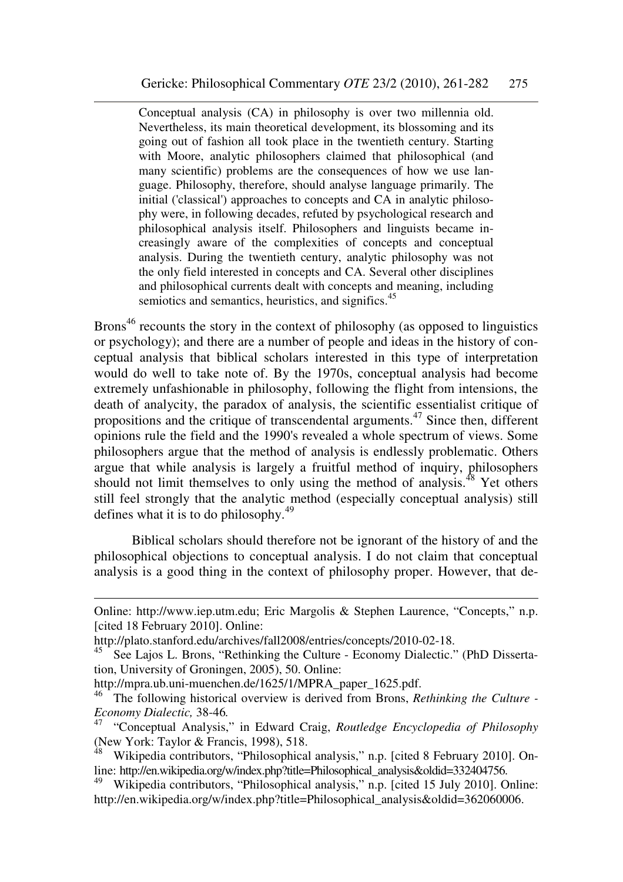Conceptual analysis (CA) in philosophy is over two millennia old. Nevertheless, its main theoretical development, its blossoming and its going out of fashion all took place in the twentieth century. Starting with Moore, analytic philosophers claimed that philosophical (and many scientific) problems are the consequences of how we use language. Philosophy, therefore, should analyse language primarily. The initial ('classical') approaches to concepts and CA in analytic philosophy were, in following decades, refuted by psychological research and philosophical analysis itself. Philosophers and linguists became increasingly aware of the complexities of concepts and conceptual analysis. During the twentieth century, analytic philosophy was not the only field interested in concepts and CA. Several other disciplines and philosophical currents dealt with concepts and meaning, including semiotics and semantics, heuristics, and significs.<sup>45</sup>

Brons<sup>46</sup> recounts the story in the context of philosophy (as opposed to linguistics or psychology); and there are a number of people and ideas in the history of conceptual analysis that biblical scholars interested in this type of interpretation would do well to take note of. By the 1970s, conceptual analysis had become extremely unfashionable in philosophy, following the flight from intensions, the death of analycity, the paradox of analysis, the scientific essentialist critique of propositions and the critique of transcendental arguments.<sup>47</sup> Since then, different opinions rule the field and the 1990's revealed a whole spectrum of views. Some philosophers argue that the method of analysis is endlessly problematic. Others argue that while analysis is largely a fruitful method of inquiry, philosophers should not limit themselves to only using the method of analysis.<sup>48</sup> Yet others still feel strongly that the analytic method (especially conceptual analysis) still defines what it is to do philosophy.<sup>49</sup>

Biblical scholars should therefore not be ignorant of the history of and the philosophical objections to conceptual analysis. I do not claim that conceptual analysis is a good thing in the context of philosophy proper. However, that de-

 $\overline{a}$ 

Online: http://www.iep.utm.edu; Eric Margolis & Stephen Laurence, "Concepts," n.p. [cited 18 February 2010]. Online:

http://plato.stanford.edu/archives/fall2008/entries/concepts/2010-02-18.

See Lajos L. Brons, "Rethinking the Culture - Economy Dialectic." (PhD Dissertation, University of Groningen, 2005), 50. Online:

http://mpra.ub.uni-muenchen.de/1625/1/MPRA\_paper\_1625.pdf.

<sup>46</sup> The following historical overview is derived from Brons, *Rethinking the Culture - Economy Dialectic,* 38-46*.*

<sup>47</sup> "Conceptual Analysis," in Edward Craig, *Routledge Encyclopedia of Philosophy*  (New York: Taylor & Francis, 1998), 518.

<sup>48</sup> Wikipedia contributors, "Philosophical analysis," n.p. [cited 8 February 2010]. Online: http://en.wikipedia.org/w/index.php?title=Philosophical\_analysis&oldid=332404756.

Wikipedia contributors, "Philosophical analysis," n.p. [cited 15 July 2010]. Online: http://en.wikipedia.org/w/index.php?title=Philosophical\_analysis&oldid=362060006.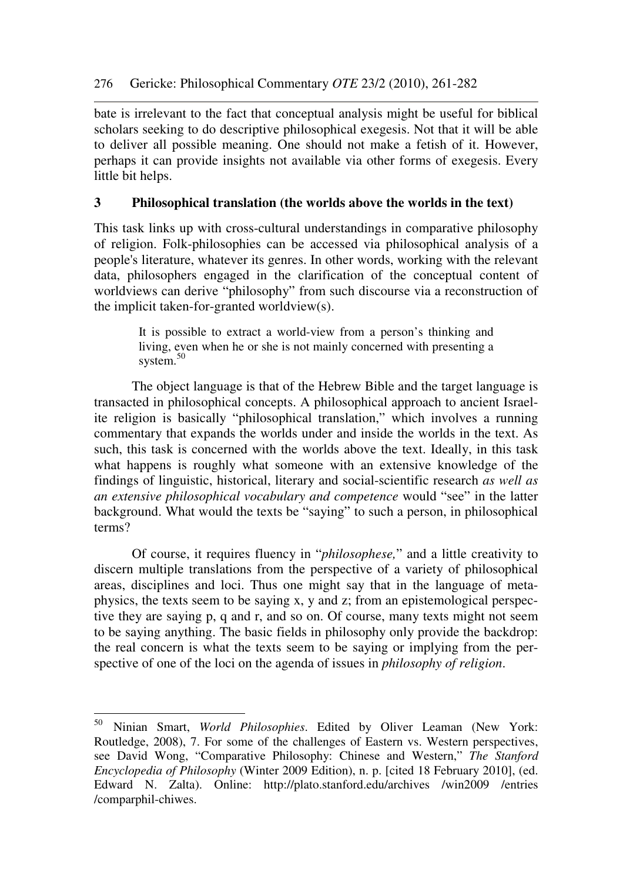## 276 Gericke: Philosophical Commentary *OTE* 23/2 (2010), 261-282

bate is irrelevant to the fact that conceptual analysis might be useful for biblical scholars seeking to do descriptive philosophical exegesis. Not that it will be able to deliver all possible meaning. One should not make a fetish of it. However, perhaps it can provide insights not available via other forms of exegesis. Every little bit helps.

# **3 Philosophical translation (the worlds above the worlds in the text)**

This task links up with cross-cultural understandings in comparative philosophy of religion. Folk-philosophies can be accessed via philosophical analysis of a people's literature, whatever its genres. In other words, working with the relevant data, philosophers engaged in the clarification of the conceptual content of worldviews can derive "philosophy" from such discourse via a reconstruction of the implicit taken-for-granted worldview(s).

It is possible to extract a world-view from a person's thinking and living, even when he or she is not mainly concerned with presenting a system.<sup>50</sup>

 The object language is that of the Hebrew Bible and the target language is transacted in philosophical concepts. A philosophical approach to ancient Israelite religion is basically "philosophical translation," which involves a running commentary that expands the worlds under and inside the worlds in the text. As such, this task is concerned with the worlds above the text. Ideally, in this task what happens is roughly what someone with an extensive knowledge of the findings of linguistic, historical, literary and social-scientific research *as well as an extensive philosophical vocabulary and competence* would "see" in the latter background. What would the texts be "saying" to such a person, in philosophical terms?

Of course, it requires fluency in "*philosophese,*" and a little creativity to discern multiple translations from the perspective of a variety of philosophical areas, disciplines and loci. Thus one might say that in the language of metaphysics, the texts seem to be saying x, y and z; from an epistemological perspective they are saying p, q and r, and so on. Of course, many texts might not seem to be saying anything. The basic fields in philosophy only provide the backdrop: the real concern is what the texts seem to be saying or implying from the perspective of one of the loci on the agenda of issues in *philosophy of religion*.

<sup>50</sup> <sup>50</sup> Ninian Smart, *World Philosophies*. Edited by Oliver Leaman (New York: Routledge, 2008), 7. For some of the challenges of Eastern vs. Western perspectives, see David Wong, "Comparative Philosophy: Chinese and Western," *The Stanford Encyclopedia of Philosophy* (Winter 2009 Edition), n. p. [cited 18 February 2010], (ed. Edward N. Zalta). Online: http://plato.stanford.edu/archives /win2009 /entries /comparphil-chiwes.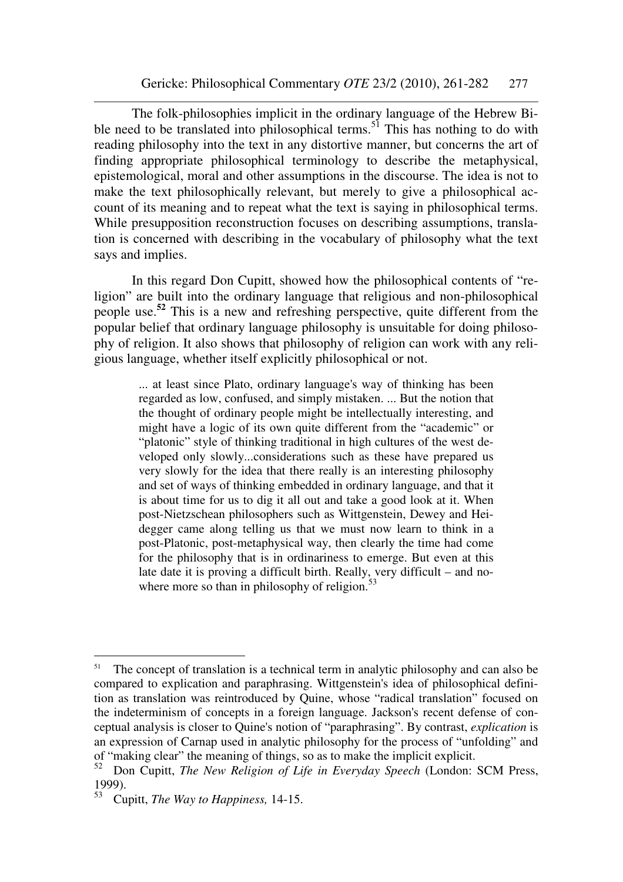The folk-philosophies implicit in the ordinary language of the Hebrew Bible need to be translated into philosophical terms.<sup>51</sup> This has nothing to do with reading philosophy into the text in any distortive manner, but concerns the art of finding appropriate philosophical terminology to describe the metaphysical, epistemological, moral and other assumptions in the discourse. The idea is not to make the text philosophically relevant, but merely to give a philosophical account of its meaning and to repeat what the text is saying in philosophical terms. While presupposition reconstruction focuses on describing assumptions, translation is concerned with describing in the vocabulary of philosophy what the text says and implies.

In this regard Don Cupitt, showed how the philosophical contents of "religion" are built into the ordinary language that religious and non-philosophical people use.<sup>52</sup> This is a new and refreshing perspective, quite different from the popular belief that ordinary language philosophy is unsuitable for doing philosophy of religion. It also shows that philosophy of religion can work with any religious language, whether itself explicitly philosophical or not.

... at least since Plato, ordinary language's way of thinking has been regarded as low, confused, and simply mistaken. ... But the notion that the thought of ordinary people might be intellectually interesting, and might have a logic of its own quite different from the "academic" or "platonic" style of thinking traditional in high cultures of the west developed only slowly...considerations such as these have prepared us very slowly for the idea that there really is an interesting philosophy and set of ways of thinking embedded in ordinary language, and that it is about time for us to dig it all out and take a good look at it. When post-Nietzschean philosophers such as Wittgenstein, Dewey and Heidegger came along telling us that we must now learn to think in a post-Platonic, post-metaphysical way, then clearly the time had come for the philosophy that is in ordinariness to emerge. But even at this late date it is proving a difficult birth. Really, very difficult – and nowhere more so than in philosophy of religion. $53$ 

 $\overline{a}$ <sup>51</sup> The concept of translation is a technical term in analytic philosophy and can also be compared to explication and paraphrasing. Wittgenstein's idea of philosophical definition as translation was reintroduced by Quine, whose "radical translation" focused on the indeterminism of concepts in a foreign language. Jackson's recent defense of conceptual analysis is closer to Quine's notion of "paraphrasing". By contrast, *explication* is an expression of Carnap used in analytic philosophy for the process of "unfolding" and of "making clear" the meaning of things, so as to make the implicit explicit.

<sup>52</sup> Don Cupitt, *The New Religion of Life in Everyday Speech* (London: SCM Press, 1999).

<sup>53</sup> Cupitt, *The Way to Happiness,* 14-15.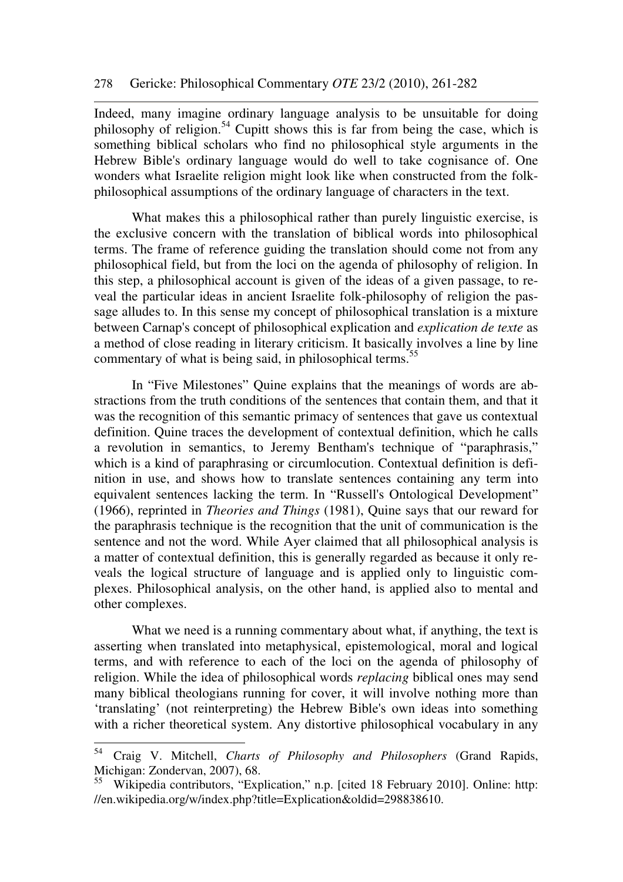Indeed, many imagine ordinary language analysis to be unsuitable for doing philosophy of religion.<sup>54</sup> Cupitt shows this is far from being the case, which is something biblical scholars who find no philosophical style arguments in the Hebrew Bible's ordinary language would do well to take cognisance of. One wonders what Israelite religion might look like when constructed from the folkphilosophical assumptions of the ordinary language of characters in the text.

What makes this a philosophical rather than purely linguistic exercise, is the exclusive concern with the translation of biblical words into philosophical terms. The frame of reference guiding the translation should come not from any philosophical field, but from the loci on the agenda of philosophy of religion. In this step, a philosophical account is given of the ideas of a given passage, to reveal the particular ideas in ancient Israelite folk-philosophy of religion the passage alludes to. In this sense my concept of philosophical translation is a mixture between Carnap's concept of philosophical explication and *explication de texte* as a method of close reading in literary criticism. It basically involves a line by line commentary of what is being said, in philosophical terms.<sup>55</sup>

In "Five Milestones" Quine explains that the meanings of words are abstractions from the truth conditions of the sentences that contain them, and that it was the recognition of this semantic primacy of sentences that gave us contextual definition. Quine traces the development of contextual definition, which he calls a revolution in semantics, to Jeremy Bentham's technique of "paraphrasis," which is a kind of paraphrasing or circumlocution. Contextual definition is definition in use, and shows how to translate sentences containing any term into equivalent sentences lacking the term. In "Russell's Ontological Development" (1966), reprinted in *Theories and Things* (1981), Quine says that our reward for the paraphrasis technique is the recognition that the unit of communication is the sentence and not the word. While Ayer claimed that all philosophical analysis is a matter of contextual definition, this is generally regarded as because it only reveals the logical structure of language and is applied only to linguistic complexes. Philosophical analysis, on the other hand, is applied also to mental and other complexes.

What we need is a running commentary about what, if anything, the text is asserting when translated into metaphysical, epistemological, moral and logical terms, and with reference to each of the loci on the agenda of philosophy of religion. While the idea of philosophical words *replacing* biblical ones may send many biblical theologians running for cover, it will involve nothing more than 'translating' (not reinterpreting) the Hebrew Bible's own ideas into something with a richer theoretical system. Any distortive philosophical vocabulary in any

<sup>54</sup> <sup>54</sup> Craig V. Mitchell, *Charts of Philosophy and Philosophers* (Grand Rapids, Michigan: Zondervan, 2007), 68.

<sup>55</sup> Wikipedia contributors, "Explication," n.p. [cited 18 February 2010]. Online: http: //en.wikipedia.org/w/index.php?title=Explication&oldid=298838610.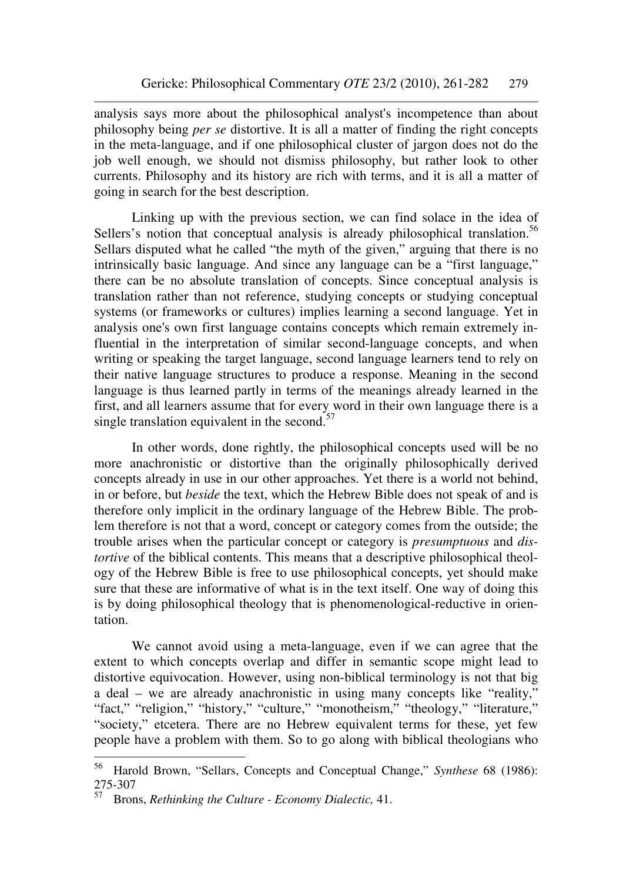analysis says more about the philosophical analyst's incompetence than about philosophy being *per se* distortive. It is all a matter of finding the right concepts in the meta-language, and if one philosophical cluster of jargon does not do the job well enough, we should not dismiss philosophy, but rather look to other currents. Philosophy and its history are rich with terms, and it is all a matter of going in search for the best description.

Linking up with the previous section, we can find solace in the idea of Sellers's notion that conceptual analysis is already philosophical translation.<sup>56</sup> Sellars disputed what he called "the myth of the given," arguing that there is no intrinsically basic language. And since any language can be a "first language," there can be no absolute translation of concepts. Since conceptual analysis is translation rather than not reference, studying concepts or studying conceptual systems (or frameworks or cultures) implies learning a second language. Yet in analysis one's own first language contains concepts which remain extremely influential in the interpretation of similar second-language concepts, and when writing or speaking the target language, second language learners tend to rely on their native language structures to produce a response. Meaning in the second language is thus learned partly in terms of the meanings already learned in the first, and all learners assume that for every word in their own language there is a single translation equivalent in the second.<sup>57</sup>

In other words, done rightly, the philosophical concepts used will be no more anachronistic or distortive than the originally philosophically derived concepts already in use in our other approaches. Yet there is a world not behind, in or before, but *beside* the text, which the Hebrew Bible does not speak of and is therefore only implicit in the ordinary language of the Hebrew Bible. The problem therefore is not that a word, concept or category comes from the outside; the trouble arises when the particular concept or category is *presumptuous* and *distortive* of the biblical contents. This means that a descriptive philosophical theology of the Hebrew Bible is free to use philosophical concepts, yet should make sure that these are informative of what is in the text itself. One way of doing this is by doing philosophical theology that is phenomenological-reductive in orientation.

We cannot avoid using a meta-language, even if we can agree that the extent to which concepts overlap and differ in semantic scope might lead to distortive equivocation. However, using non-biblical terminology is not that big a deal – we are already anachronistic in using many concepts like "reality," "fact," "religion," "history," "culture," "monotheism," "theology," "literature," "society," etcetera. There are no Hebrew equivalent terms for these, yet few people have a problem with them. So to go along with biblical theologians who

 $\overline{a}$ 

<sup>56</sup> Harold Brown, "Sellars, Concepts and Conceptual Change," *Synthese* 68 (1986): 275-307

<sup>57</sup> Brons, *Rethinking the Culture - Economy Dialectic,* 41.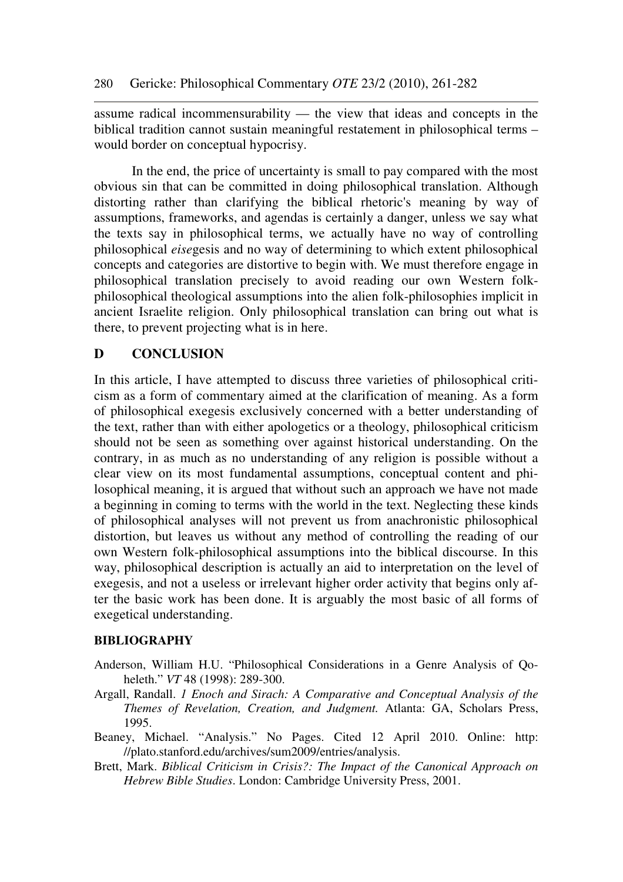assume radical incommensurability — the view that ideas and concepts in the biblical tradition cannot sustain meaningful restatement in philosophical terms – would border on conceptual hypocrisy.

In the end, the price of uncertainty is small to pay compared with the most obvious sin that can be committed in doing philosophical translation. Although distorting rather than clarifying the biblical rhetoric's meaning by way of assumptions, frameworks, and agendas is certainly a danger, unless we say what the texts say in philosophical terms, we actually have no way of controlling philosophical *eise*gesis and no way of determining to which extent philosophical concepts and categories are distortive to begin with. We must therefore engage in philosophical translation precisely to avoid reading our own Western folkphilosophical theological assumptions into the alien folk-philosophies implicit in ancient Israelite religion. Only philosophical translation can bring out what is there, to prevent projecting what is in here.

# **D CONCLUSION**

In this article, I have attempted to discuss three varieties of philosophical criticism as a form of commentary aimed at the clarification of meaning. As a form of philosophical exegesis exclusively concerned with a better understanding of the text, rather than with either apologetics or a theology, philosophical criticism should not be seen as something over against historical understanding. On the contrary, in as much as no understanding of any religion is possible without a clear view on its most fundamental assumptions, conceptual content and philosophical meaning, it is argued that without such an approach we have not made a beginning in coming to terms with the world in the text. Neglecting these kinds of philosophical analyses will not prevent us from anachronistic philosophical distortion, but leaves us without any method of controlling the reading of our own Western folk-philosophical assumptions into the biblical discourse. In this way, philosophical description is actually an aid to interpretation on the level of exegesis, and not a useless or irrelevant higher order activity that begins only after the basic work has been done. It is arguably the most basic of all forms of exegetical understanding.

#### **BIBLIOGRAPHY**

- Anderson, William H.U. "Philosophical Considerations in a Genre Analysis of Qoheleth." *VT* 48 (1998): 289-300.
- Argall, Randall. *1 Enoch and Sirach: A Comparative and Conceptual Analysis of the Themes of Revelation, Creation, and Judgment.* Atlanta: GA, Scholars Press, 1995.
- Beaney, Michael. "Analysis." No Pages. Cited 12 April 2010. Online: http: //plato.stanford.edu/archives/sum2009/entries/analysis.
- Brett, Mark. *Biblical Criticism in Crisis?: The Impact of the Canonical Approach on Hebrew Bible Studies*. London: Cambridge University Press, 2001.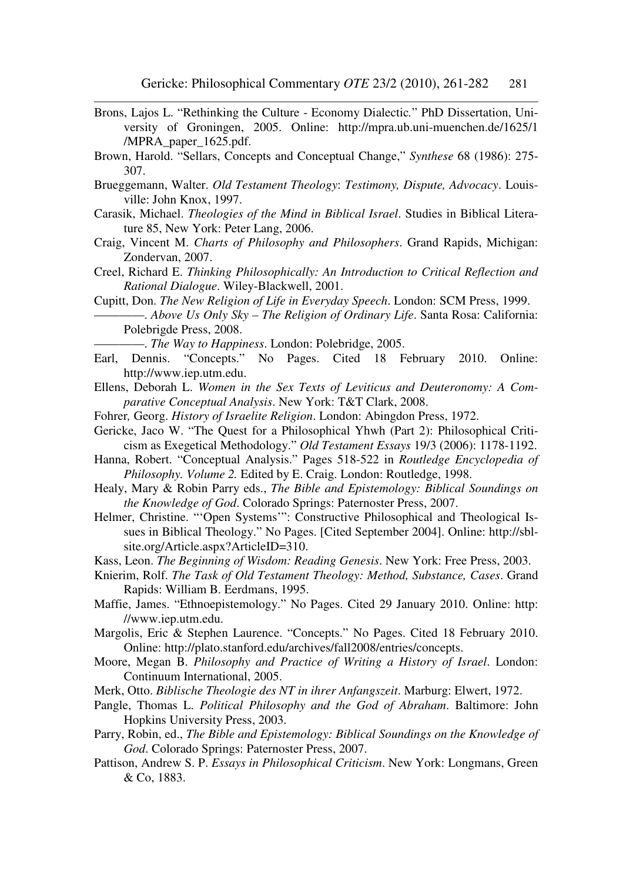- Brons, Lajos L. "Rethinking the Culture Economy Dialectic*.*" PhD Dissertation, University of Groningen, 2005. Online: http://mpra.ub.uni-muenchen.de/1625/1 /MPRA\_paper\_1625.pdf.
- Brown, Harold. "Sellars, Concepts and Conceptual Change," *Synthese* 68 (1986): 275- 307.
- Brueggemann, Walter. *Old Testament Theology*: *Testimony, Dispute, Advocacy*. Louisville: John Knox, 1997.
- Carasik, Michael. *Theologies of the Mind in Biblical Israel*. Studies in Biblical Literature 85, New York: Peter Lang, 2006.
- Craig, Vincent M. *Charts of Philosophy and Philosophers*. Grand Rapids, Michigan: Zondervan, 2007.
- Creel, Richard E. *Thinking Philosophically: An Introduction to Critical Reflection and Rational Dialogue*. Wiley-Blackwell, 2001.
- Cupitt, Don. *The New Religion of Life in Everyday Speech*. London: SCM Press, 1999.
	- ————. *Above Us Only Sky The Religion of Ordinary Life*. Santa Rosa: California: Polebrigde Press, 2008.
		- ————. *The Way to Happiness*. London: Polebridge, 2005.
- Earl, Dennis. "Concepts." No Pages. Cited 18 February 2010. Online: http://www.iep.utm.edu.
- Ellens, Deborah L. *Women in the Sex Texts of Leviticus and Deuteronomy: A Comparative Conceptual Analysis*. New York: T&T Clark, 2008.
- Fohrer*,* Georg. *History of Israelite Religion*. London: Abingdon Press, 1972.
- Gericke, Jaco W. "The Quest for a Philosophical Yhwh (Part 2): Philosophical Criticism as Exegetical Methodology." *Old Testament Essays* 19/3 (2006): 1178-1192.
- Hanna, Robert. "Conceptual Analysis." Pages 518-522 in *Routledge Encyclopedia of Philosophy. Volume 2.* Edited by E. Craig. London: Routledge, 1998.
- Healy, Mary & Robin Parry eds., *The Bible and Epistemology: Biblical Soundings on the Knowledge of God*. Colorado Springs: Paternoster Press, 2007.
- Helmer, Christine. "'Open Systems'": Constructive Philosophical and Theological Issues in Biblical Theology." No Pages. [Cited September 2004]. Online: http://sblsite.org/Article.aspx?ArticleID=310.
- Kass, Leon. *The Beginning of Wisdom: Reading Genesis*. New York: Free Press, 2003.
- Knierim, Rolf. *The Task of Old Testament Theology: Method, Substance, Cases*. Grand Rapids: William B. Eerdmans, 1995.
- Maffie, James. "Ethnoepistemology." No Pages. Cited 29 January 2010. Online: http: //www.iep.utm.edu.
- Margolis, Eric & Stephen Laurence. "Concepts." No Pages. Cited 18 February 2010. Online: http://plato.stanford.edu/archives/fall2008/entries/concepts.
- Moore, Megan B. *Philosophy and Practice of Writing a History of Israel*. London: Continuum International, 2005.
- Merk, Otto. *Biblische Theologie des NT in ihrer Anfangszeit*. Marburg: Elwert, 1972.
- Pangle, Thomas L. *Political Philosophy and the God of Abraham*. Baltimore: John Hopkins University Press, 2003.
- Parry, Robin, ed., *The Bible and Epistemology: Biblical Soundings on the Knowledge of God*. Colorado Springs: Paternoster Press, 2007.
- Pattison, Andrew S. P. *Essays in Philosophical Criticism*. New York: Longmans, Green & Co, 1883.